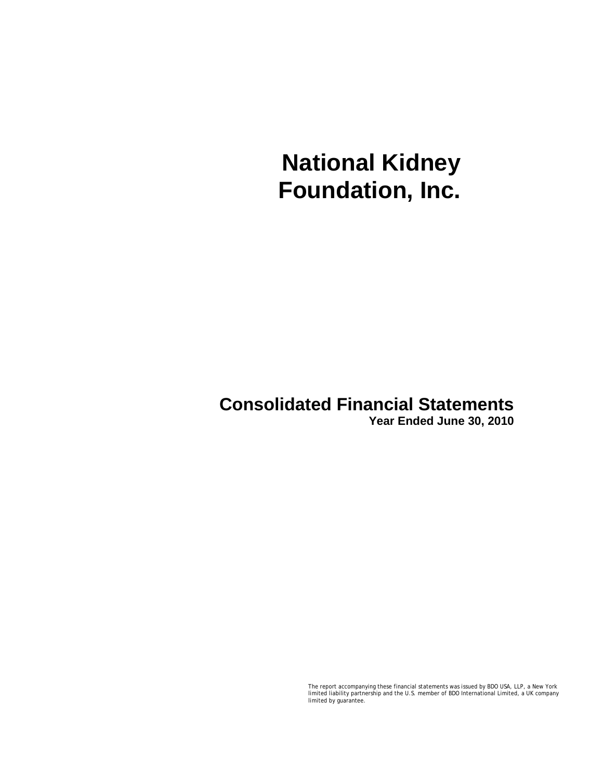# **Consolidated Financial Statements**

**Year Ended June 30, 2010** 

The report accompanying these financial statements was issued by BDO USA, LLP, a New York limited liability partnership and the U.S. member of BDO International Limited, a UK company limited by guarantee.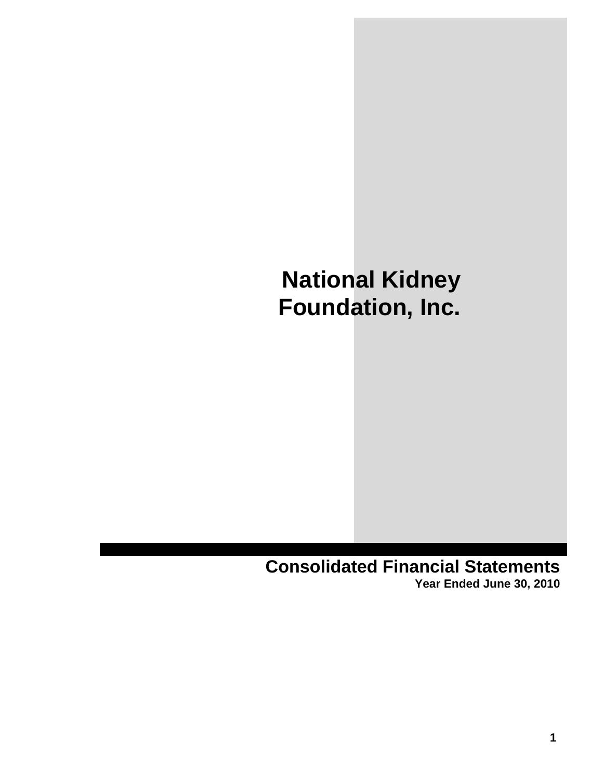**Consolidated Financial Statements Year Ended June 30, 2010**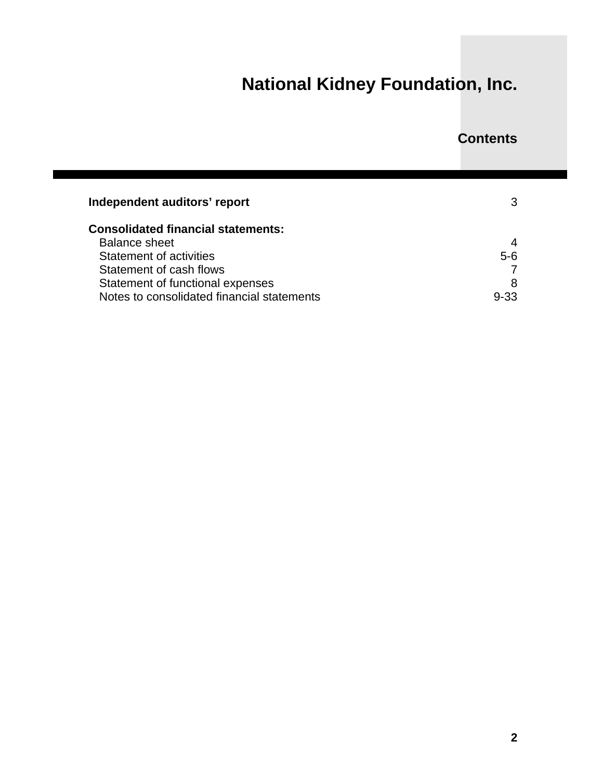### **Contents**

| Independent auditors' report               |       |  |  |  |
|--------------------------------------------|-------|--|--|--|
| <b>Consolidated financial statements:</b>  |       |  |  |  |
| <b>Balance sheet</b>                       | 4     |  |  |  |
| <b>Statement of activities</b>             | $5-6$ |  |  |  |
| Statement of cash flows                    |       |  |  |  |
| Statement of functional expenses           | 8     |  |  |  |
| Notes to consolidated financial statements | 9-33  |  |  |  |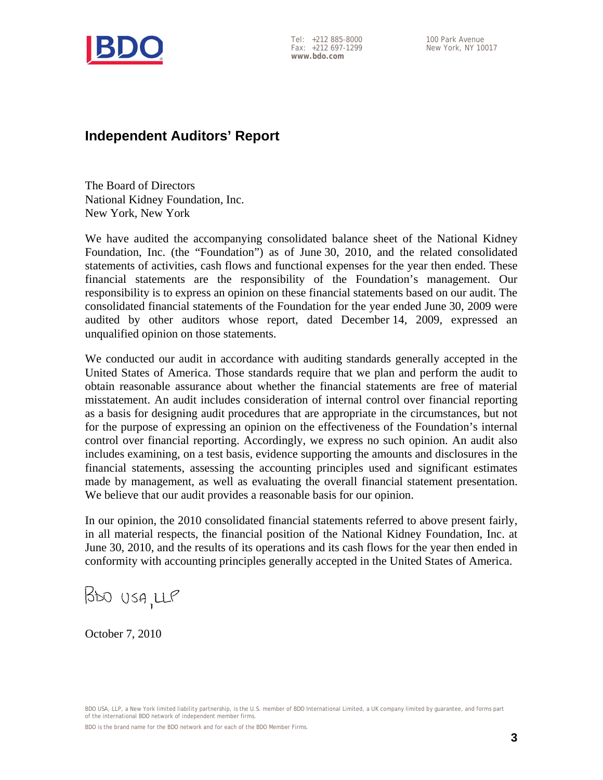

Tel: +212 885-8000 Fax: +212 697-1299 **www.bdo.com** 

### **Independent Auditors' Report**

The Board of Directors National Kidney Foundation, Inc. New York, New York

We have audited the accompanying consolidated balance sheet of the National Kidney Foundation, Inc. (the "Foundation") as of June 30, 2010, and the related consolidated statements of activities, cash flows and functional expenses for the year then ended. These financial statements are the responsibility of the Foundation's management. Our responsibility is to express an opinion on these financial statements based on our audit. The consolidated financial statements of the Foundation for the year ended June 30, 2009 were audited by other auditors whose report, dated December 14, 2009, expressed an unqualified opinion on those statements.

We conducted our audit in accordance with auditing standards generally accepted in the United States of America. Those standards require that we plan and perform the audit to obtain reasonable assurance about whether the financial statements are free of material misstatement. An audit includes consideration of internal control over financial reporting as a basis for designing audit procedures that are appropriate in the circumstances, but not for the purpose of expressing an opinion on the effectiveness of the Foundation's internal control over financial reporting. Accordingly, we express no such opinion. An audit also includes examining, on a test basis, evidence supporting the amounts and disclosures in the financial statements, assessing the accounting principles used and significant estimates made by management, as well as evaluating the overall financial statement presentation. We believe that our audit provides a reasonable basis for our opinion.

In our opinion, the 2010 consolidated financial statements referred to above present fairly, in all material respects, the financial position of the National Kidney Foundation, Inc. at June 30, 2010, and the results of its operations and its cash flows for the year then ended in conformity with accounting principles generally accepted in the United States of America.

BOO USA, LLP

October 7, 2010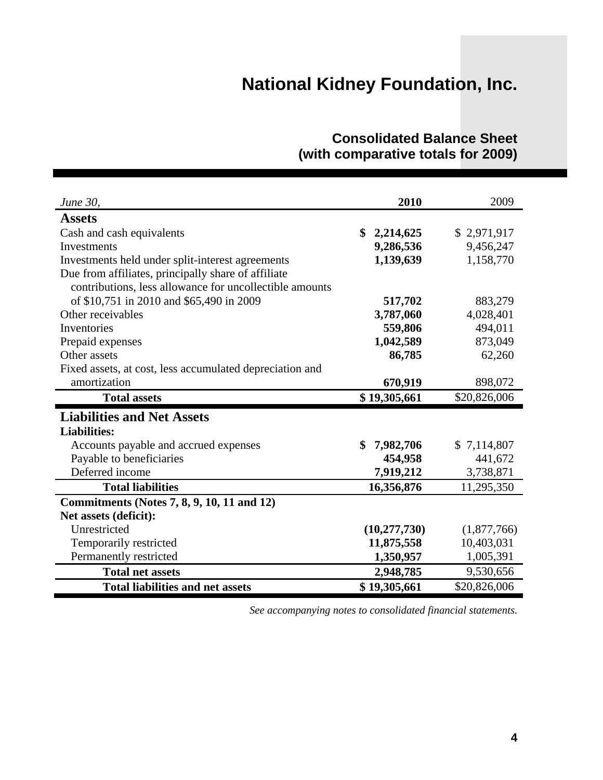| June 30,                                                                                                       | 2010            | 2009         |
|----------------------------------------------------------------------------------------------------------------|-----------------|--------------|
| <b>Assets</b>                                                                                                  |                 |              |
| Cash and cash equivalents                                                                                      | \$<br>2,214,625 | \$2,971,917  |
| Investments                                                                                                    | 9,286,536       | 9,456,247    |
| Investments held under split-interest agreements                                                               | 1,139,639       | 1,158,770    |
| Due from affiliates, principally share of affiliate<br>contributions, less allowance for uncollectible amounts |                 |              |
| of \$10,751 in 2010 and \$65,490 in 2009                                                                       | 517,702         | 883,279      |
| Other receivables                                                                                              | 3,787,060       | 4,028,401    |
| Inventories                                                                                                    | 559,806         | 494,011      |
| Prepaid expenses                                                                                               | 1,042,589       | 873,049      |
| Other assets                                                                                                   | 86,785          | 62,260       |
| Fixed assets, at cost, less accumulated depreciation and                                                       |                 |              |
| amortization                                                                                                   | 670,919         | 898,072      |
|                                                                                                                |                 |              |
| <b>Total assets</b>                                                                                            | \$19,305,661    | \$20,826,006 |
| <b>Liabilities and Net Assets</b>                                                                              |                 |              |
| <b>Liabilities:</b>                                                                                            |                 |              |
| Accounts payable and accrued expenses                                                                          | \$<br>7,982,706 | \$7,114,807  |
| Payable to beneficiaries                                                                                       | 454,958         | 441,672      |
| Deferred income                                                                                                | 7,919,212       | 3,738,871    |
| <b>Total liabilities</b>                                                                                       | 16,356,876      | 11,295,350   |
| Commitments (Notes 7, 8, 9, 10, 11 and 12)                                                                     |                 |              |
| Net assets (deficit):                                                                                          |                 |              |
| Unrestricted                                                                                                   | (10, 277, 730)  | (1,877,766)  |
| Temporarily restricted                                                                                         | 11,875,558      | 10,403,031   |
| Permanently restricted                                                                                         | 1,350,957       | 1,005,391    |
| <b>Total net assets</b>                                                                                        | 2,948,785       | 9,530,656    |

### **Consolidated Balance Sheet (with comparative totals for 2009)**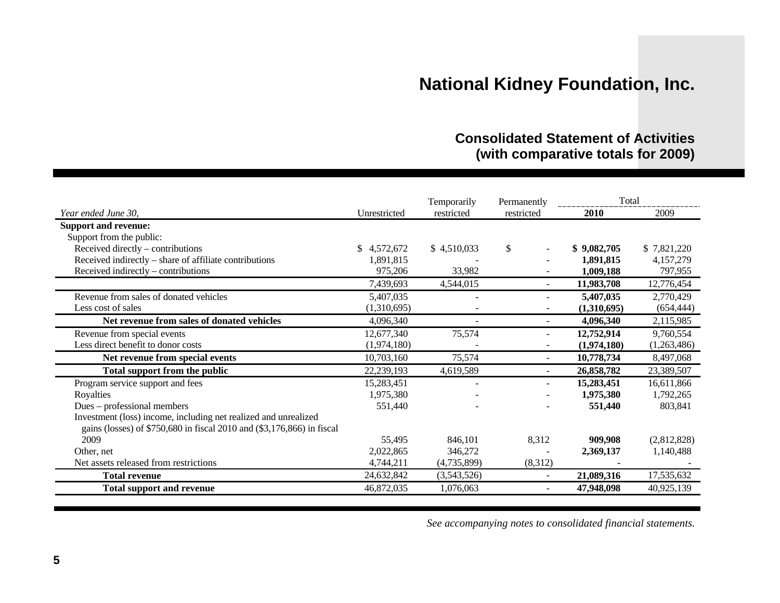### **Consolidated Statement of Activities (with comparative totals for 2009)**

|                                                                        |              | Temporarily |            | Total<br>Permanently |             |
|------------------------------------------------------------------------|--------------|-------------|------------|----------------------|-------------|
| Year ended June 30,                                                    | Unrestricted | restricted  | restricted | 2010                 | 2009        |
| <b>Support and revenue:</b>                                            |              |             |            |                      |             |
| Support from the public:                                               |              |             |            |                      |             |
| Received directly - contributions                                      | \$4,572,672  | \$4,510,033 | \$         | \$9,082,705          | \$7,821,220 |
| Received indirectly – share of affiliate contributions                 | 1,891,815    |             |            | 1,891,815            | 4,157,279   |
| Received indirectly – contributions                                    | 975,206      | 33,982      |            | 1,009,188            | 797,955     |
|                                                                        | 7,439,693    | 4,544,015   |            | 11,983,708           | 12,776,454  |
| Revenue from sales of donated vehicles                                 | 5,407,035    |             |            | 5,407,035            | 2,770,429   |
| Less cost of sales                                                     | (1,310,695)  |             |            | (1,310,695)          | (654, 444)  |
| Net revenue from sales of donated vehicles                             | 4,096,340    |             |            | 4,096,340            | 2,115,985   |
| Revenue from special events                                            | 12,677,340   | 75,574      |            | 12,752,914           | 9,760,554   |
| Less direct benefit to donor costs                                     | (1,974,180)  |             |            | (1,974,180)          | (1,263,486) |
| Net revenue from special events                                        | 10,703,160   | 75,574      |            | 10,778,734           | 8,497,068   |
| Total support from the public                                          | 22,239,193   | 4,619,589   | $\sim$     | 26,858,782           | 23,389,507  |
| Program service support and fees                                       | 15,283,451   |             |            | 15,283,451           | 16,611,866  |
| Royalties                                                              | 1,975,380    |             |            | 1,975,380            | 1,792,265   |
| Dues – professional members                                            | 551,440      |             |            | 551,440              | 803,841     |
| Investment (loss) income, including net realized and unrealized        |              |             |            |                      |             |
| gains (losses) of \$750,680 in fiscal 2010 and (\$3,176,866) in fiscal |              |             |            |                      |             |
| 2009                                                                   | 55,495       | 846,101     | 8,312      | 909,908              | (2,812,828) |
| Other, net                                                             | 2,022,865    | 346,272     |            | 2,369,137            | 1,140,488   |
| Net assets released from restrictions                                  | 4,744,211    | (4,735,899) | (8,312)    |                      |             |
| <b>Total revenue</b>                                                   | 24,632,842   | (3,543,526) |            | 21,089,316           | 17,535,632  |
| <b>Total support and revenue</b>                                       | 46,872,035   | 1,076,063   |            | 47,948,098           | 40,925,139  |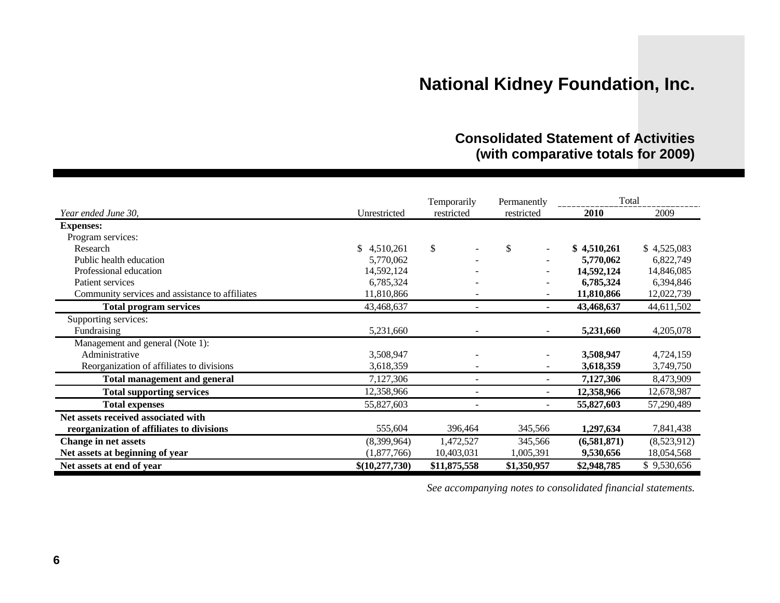### **Consolidated Statement of Activities (with comparative totals for 2009)**

|                                                 |                | Temporarily              | Permanently | Total       |             |  |
|-------------------------------------------------|----------------|--------------------------|-------------|-------------|-------------|--|
| Year ended June 30,                             | Unrestricted   | restricted               | restricted  | 2010        | 2009        |  |
| <b>Expenses:</b>                                |                |                          |             |             |             |  |
| Program services:                               |                |                          |             |             |             |  |
| Research                                        | \$4,510,261    | $\mathbb{S}$             | \$          | \$4,510,261 | \$4,525,083 |  |
| Public health education                         | 5,770,062      |                          |             | 5,770,062   | 6,822,749   |  |
| Professional education                          | 14,592,124     |                          |             | 14,592,124  | 14,846,085  |  |
| Patient services                                | 6,785,324      |                          |             | 6,785,324   | 6,394,846   |  |
| Community services and assistance to affiliates | 11,810,866     |                          |             | 11,810,866  | 12,022,739  |  |
| <b>Total program services</b>                   | 43,468,637     |                          |             | 43,468,637  | 44,611,502  |  |
| Supporting services:                            |                |                          |             |             |             |  |
| Fundraising                                     | 5,231,660      |                          |             | 5,231,660   | 4,205,078   |  |
| Management and general (Note 1):                |                |                          |             |             |             |  |
| Administrative                                  | 3,508,947      |                          |             | 3,508,947   | 4,724,159   |  |
| Reorganization of affiliates to divisions       | 3,618,359      |                          |             | 3,618,359   | 3,749,750   |  |
| <b>Total management and general</b>             | 7,127,306      | $\overline{\phantom{a}}$ |             | 7,127,306   | 8,473,909   |  |
| <b>Total supporting services</b>                | 12,358,966     |                          |             | 12,358,966  | 12,678,987  |  |
| <b>Total expenses</b>                           | 55,827,603     |                          |             | 55,827,603  | 57,290,489  |  |
| Net assets received associated with             |                |                          |             |             |             |  |
| reorganization of affiliates to divisions       | 555,604        | 396,464                  | 345,566     | 1,297,634   | 7,841,438   |  |
| <b>Change in net assets</b>                     | (8,399,964)    | 1,472,527                | 345,566     | (6,581,871) | (8,523,912) |  |
| Net assets at beginning of year                 | (1,877,766)    | 10,403,031               | 1,005,391   | 9,530,656   | 18,054,568  |  |
| Net assets at end of year                       | \$(10,277,730) | \$11,875,558             | \$1,350,957 | \$2,948,785 | \$9,530,656 |  |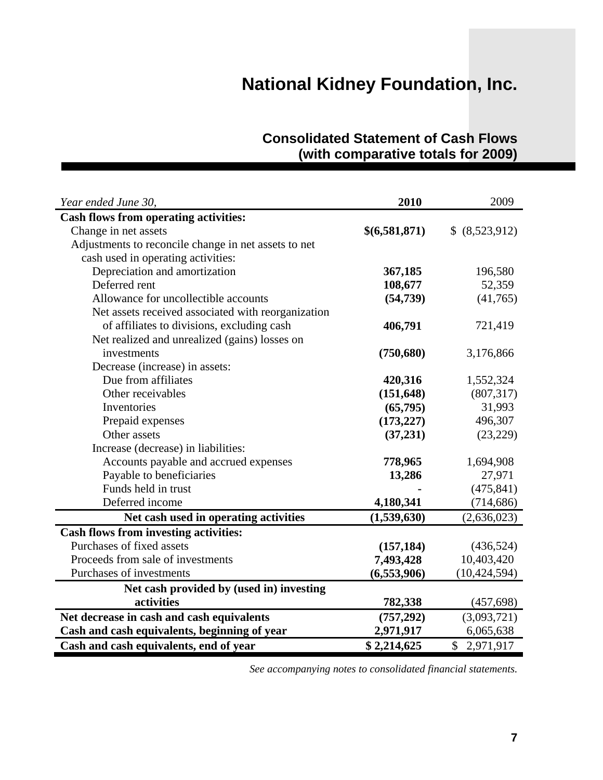| <b>Consolidated Statement of Cash Flows</b> |  |
|---------------------------------------------|--|
| (with comparative totals for 2009)          |  |

| Year ended June 30,                                  | 2010          | 2009           |
|------------------------------------------------------|---------------|----------------|
| <b>Cash flows from operating activities:</b>         |               |                |
| Change in net assets                                 | \$(6,581,871) | \$ (8,523,912) |
| Adjustments to reconcile change in net assets to net |               |                |
| cash used in operating activities:                   |               |                |
| Depreciation and amortization                        | 367,185       | 196,580        |
| Deferred rent                                        | 108,677       | 52,359         |
| Allowance for uncollectible accounts                 | (54, 739)     | (41,765)       |
| Net assets received associated with reorganization   |               |                |
| of affiliates to divisions, excluding cash           | 406,791       | 721,419        |
| Net realized and unrealized (gains) losses on        |               |                |
| investments                                          | (750, 680)    | 3,176,866      |
| Decrease (increase) in assets:                       |               |                |
| Due from affiliates                                  | 420,316       | 1,552,324      |
| Other receivables                                    | (151, 648)    | (807, 317)     |
| Inventories                                          | (65, 795)     | 31,993         |
| Prepaid expenses                                     | (173, 227)    | 496,307        |
| Other assets                                         | (37,231)      | (23, 229)      |
| Increase (decrease) in liabilities:                  |               |                |
| Accounts payable and accrued expenses                | 778,965       | 1,694,908      |
| Payable to beneficiaries                             | 13,286        | 27,971         |
| Funds held in trust                                  |               | (475, 841)     |
| Deferred income                                      | 4,180,341     | (714, 686)     |
| Net cash used in operating activities                | (1,539,630)   | (2,636,023)    |
| <b>Cash flows from investing activities:</b>         |               |                |
| Purchases of fixed assets                            | (157, 184)    | (436,524)      |
| Proceeds from sale of investments                    | 7,493,428     | 10,403,420     |
| Purchases of investments                             | (6,553,906)   | (10, 424, 594) |
| Net cash provided by (used in) investing             |               |                |
| activities                                           | 782,338       | (457, 698)     |
| Net decrease in cash and cash equivalents            | (757, 292)    | (3,093,721)    |
| Cash and cash equivalents, beginning of year         | 2,971,917     | 6,065,638      |
| Cash and cash equivalents, end of year               | \$2,214,625   | \$2,971,917    |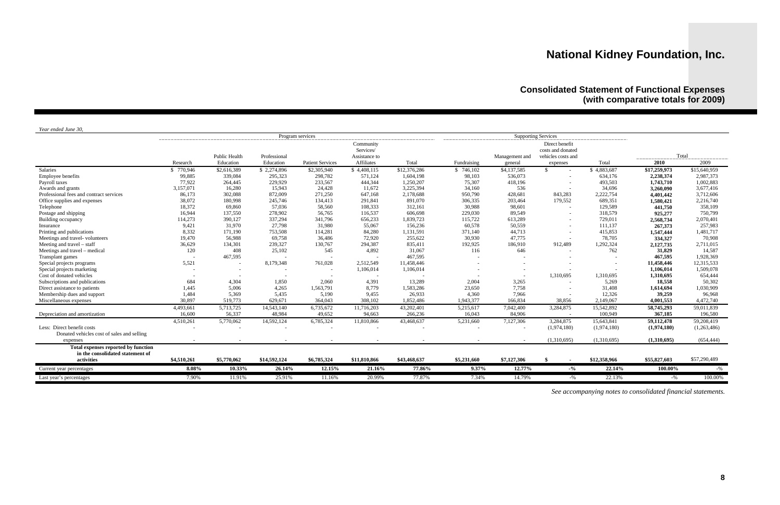### **Consolidated Statement of Functional Expenses (with comparative totals for 2009)**

*Year ended June 30,* 

| <i>rear enaea sune so,</i>                 |             |                      | Program services |                         |               |              |             | <b>Supporting Services</b> |                    | ------------------- |                     |              |
|--------------------------------------------|-------------|----------------------|------------------|-------------------------|---------------|--------------|-------------|----------------------------|--------------------|---------------------|---------------------|--------------|
|                                            |             |                      |                  |                         | Community     |              |             |                            | Direct benefit     |                     |                     |              |
|                                            |             |                      |                  |                         | Services/     |              |             |                            | costs and donated  |                     |                     |              |
|                                            |             | <b>Public Health</b> | Professional     |                         | Assistance to |              |             | Management and             | vehicles costs and |                     | Total<br>__________ | ----------   |
|                                            | Research    | Education            | Education        | <b>Patient Services</b> | Affiliates    | Total        | Fundraising | general                    | expenses           | Total               | 2010                | 2009         |
| Salaries                                   | \$770,946   | \$2,616,389          | \$2,274,896      | \$2,305,940             | \$4,408,115   | \$12,376,286 | \$746,102   | \$4,137,585                | \$.                | \$4,883,687         | \$17,259,973        | \$15,640,959 |
| Employee benefits                          | 99,885      | 339,084              | 295,323          | 298,782                 | 571,124       | 1,604,198    | 98,103      | 536,073                    |                    | 634,176             | 2,238,374           | 2,987,373    |
| Payroll taxes                              | 77,922      | 264,445              | 229,929          | 233,567                 | 444,344       | 1,250,207    | 75,307      | 418,196                    |                    | 493,503             | 1,743,710           | 1,002,883    |
| Awards and grants                          | 3,157,071   | 16,280               | 15,943           | 24,428                  | 11,672        | 3,225,394    | 34,160      | 536                        |                    | 34,696              | 3,260,090           | 3,677,416    |
| Professional fees and contract services    | 86,173      | 302,088              | 872,009          | 271,250                 | 647,168       | 2,178,688    | 950,790     | 428,681                    | 843,283            | 2,222,754           | 4,401,442           | 3,712,606    |
| Office supplies and expenses               | 38,072      | 180,998              | 245,746          | 134,413                 | 291,841       | 891,070      | 306,335     | 203,464                    | 179,552            | 689,351             | 1,580,421           | 2,216,740    |
| Telephone                                  | 18,372      | 69,860               | 57,036           | 58,560                  | 108,333       | 312,161      | 30,988      | 98,601                     |                    | 129,589             | 441,750             | 358,109      |
| Postage and shipping                       | 16,944      | 137,550              | 278,902          | 56,765                  | 116,537       | 606,698      | 229,030     | 89,549                     |                    | 318,579             | 925,277             | 750,799      |
| Building occupancy                         | 114,273     | 390,127              | 337,294          | 341,796                 | 656,233       | 1,839,723    | 115,722     | 613,289                    |                    | 729,011             | 2,568,734           | 2,070,401    |
| Insurance                                  | 9,421       | 31,970               | 27,798           | 31,980                  | 55,067        | 156,236      | 60,578      | 50,559                     |                    | 111,137             | 267,373             | 257,983      |
| Printing and publications                  | 8,332       | 171,190              | 753,508          | 114,281                 | 84,280        | 1,131,591    | 371,140     | 44,713                     |                    | 415,853             | 1,547,444           | 1,481,717    |
| Meetings and travel-volunteers             | 19,470      | 56,988               | 69,758           | 36,486                  | 72,920        | 255,622      | 30,930      | 47,775                     |                    | 78,705              | 334,327             | 70,908       |
| Meeting and travel – staff                 | 36,629      | 134,301              | 239,327          | 130,767                 | 294,387       | 835,411      | 192,925     | 186,910                    | 912,489            | 1,292,324           | 2,127,735           | 2,711,015    |
| Meetings and travel – medical              | 120         | 408                  | 25,102           | 545                     | 4,892         | 31,067       | 116         | 646                        |                    | 762                 | 31,829              | 14,587       |
| Transplant games                           |             | 467,595              |                  |                         |               | 467,595      |             |                            |                    |                     | 467,595             | 1,928,369    |
| Special projects programs                  | 5,521       |                      | 8,179,348        | 761,028                 | 2,512,549     | 11,458,446   |             |                            |                    | $\overline{a}$      | 11,458,446          | 12,315,533   |
| Special projects marketing                 |             |                      |                  |                         | 1,106,014     | 1,106,014    |             |                            |                    |                     | 1,106,014           | 1,509,078    |
| Cost of donated vehicles                   |             |                      |                  |                         |               |              |             |                            | 1,310,695          | 1,310,695           | 1,310,695           | 654,444      |
| Subscriptions and publications             | 684         | 4,304                | 1,850            | 2,060                   | 4,391         | 13,289       | 2,004       | 3,265                      |                    | 5,269               | 18,558              | 50,302       |
| Direct assistance to patients              | 1,445       | 5,006                | 4,265            | 1,563,791               | 8,779         | 1,583,286    | 23,650      | 7,758                      |                    | 31,408              | 1,614,694           | 1,030,909    |
| Membership dues and support                | 1,484       | 5,369                | 5,435            | 5,190                   | 9,455         | 26,933       | 4,360       | 7,966                      |                    | 12,326              | 39,259              | 96,968       |
| Miscellaneous expenses                     | 30,897      | 519,773              | 629,671          | 364,043                 | 308,102       | 1,852,486    | 1,943,377   | 166,834                    | 38,856             | 2,149,067           | 4,001,553           | 4,472,740    |
|                                            | 4,493,661   | 5,713,725            | 14,543,140       | 6,735,672               | 11,716,203    | 43,202,401   | 5,215,617   | 7,042,400                  | 3,284,875          | 15,542,892          | 58,745,293          | 59,011,839   |
| Depreciation and amortization              | 16,600      | 56,337               | 48,984           | 49,652                  | 94,663        | 266,236      | 16,043      | 84,906                     |                    | 100,949             | 367,185             | 196,580      |
|                                            | 4,510,261   | 5,770,062            | 14,592,124       | 6,785,324               | 11,810,866    | 43,468,637   | 5,231,660   | 7,127,306                  | 3,284,875          | 15,643,841          | 59,112,478          | 59,208,419   |
| Less: Direct benefit costs                 |             | $\overline{a}$       |                  |                         |               |              |             | $\overline{\phantom{a}}$   | (1,974,180)        | (1,974,180)         | (1,974,180)         | (1,263,486)  |
| Donated vehicles cost of sales and selling |             |                      |                  |                         |               |              |             |                            |                    |                     |                     |              |
| expenses                                   |             |                      |                  |                         |               |              |             |                            | (1,310,695)        | (1,310,695)         | (1,310,695)         | (654, 444)   |
| Total expenses reported by function        |             |                      |                  |                         |               |              |             |                            |                    |                     |                     |              |
| in the consolidated statement of           |             |                      |                  |                         |               |              |             |                            |                    |                     |                     |              |
| activities                                 | \$4,510,261 | \$5,770,062          | \$14,592,124     | \$6,785,324             | \$11,810,866  | \$43,468,637 | \$5,231,660 | \$7,127,306                | -\$                | \$12,358,966        | \$55,827,603        | \$57,290,489 |
| Current year percentages                   | 8.08%       | 10.33%               | 26.14%           | 12.15%                  | 21.16%        | 77.86%       | 9.37%       | 12.77%                     | $-9/0$             | 22.14%              | 100.00%             | -%           |
| Last year's percentages                    | 7.90%       | 11.91%               | 25.91%           | 11.16%                  | 20.99%        | 77.87%       | 7.34%       | 14.79%                     | $-9/6$             | 22.13%              | $-$ %               | 100.00%      |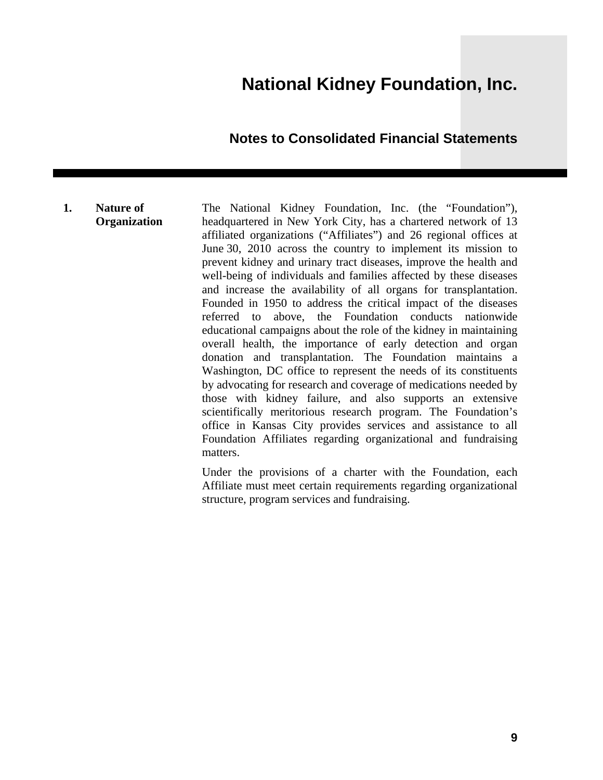### **Notes to Consolidated Financial Statements**

#### **1. Nature of Organization**

The National Kidney Foundation, Inc. (the "Foundation"), headquartered in New York City, has a chartered network of 13 affiliated organizations ("Affiliates") and 26 regional offices at June 30, 2010 across the country to implement its mission to prevent kidney and urinary tract diseases, improve the health and well-being of individuals and families affected by these diseases and increase the availability of all organs for transplantation. Founded in 1950 to address the critical impact of the diseases referred to above, the Foundation conducts nationwide educational campaigns about the role of the kidney in maintaining overall health, the importance of early detection and organ donation and transplantation. The Foundation maintains a Washington, DC office to represent the needs of its constituents by advocating for research and coverage of medications needed by those with kidney failure, and also supports an extensive scientifically meritorious research program. The Foundation's office in Kansas City provides services and assistance to all Foundation Affiliates regarding organizational and fundraising matters.

Under the provisions of a charter with the Foundation, each Affiliate must meet certain requirements regarding organizational structure, program services and fundraising.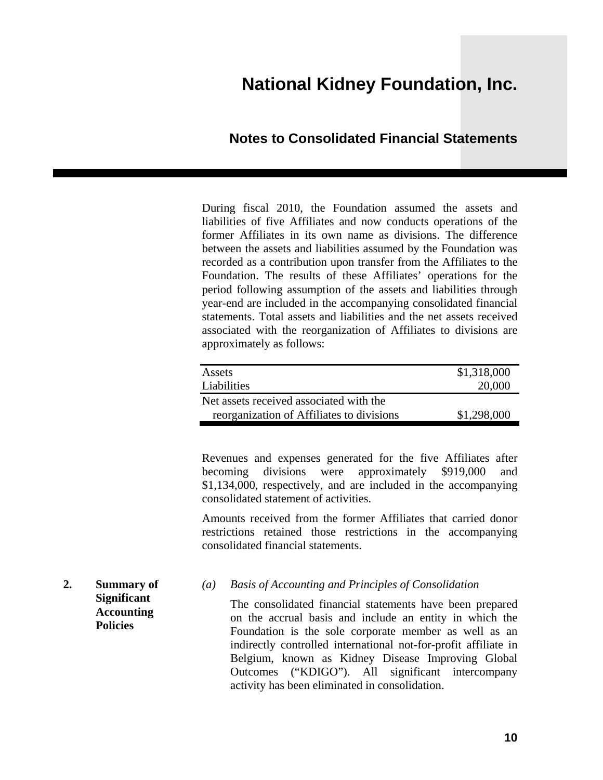### **Notes to Consolidated Financial Statements**

During fiscal 2010, the Foundation assumed the assets and liabilities of five Affiliates and now conducts operations of the former Affiliates in its own name as divisions. The difference between the assets and liabilities assumed by the Foundation was recorded as a contribution upon transfer from the Affiliates to the Foundation. The results of these Affiliates' operations for the period following assumption of the assets and liabilities through year-end are included in the accompanying consolidated financial statements. Total assets and liabilities and the net assets received associated with the reorganization of Affiliates to divisions are approximately as follows:

| Assets                                    | \$1,318,000 |
|-------------------------------------------|-------------|
| Liabilities                               | 20,000      |
| Net assets received associated with the   |             |
| reorganization of Affiliates to divisions | \$1,298,000 |

Revenues and expenses generated for the five Affiliates after becoming divisions were approximately \$919,000 and \$1,134,000, respectively, and are included in the accompanying consolidated statement of activities.

Amounts received from the former Affiliates that carried donor restrictions retained those restrictions in the accompanying consolidated financial statements.

**2. Summary of Significant Accounting Policies** 

*(a) Basis of Accounting and Principles of Consolidation* 

The consolidated financial statements have been prepared on the accrual basis and include an entity in which the Foundation is the sole corporate member as well as an indirectly controlled international not-for-profit affiliate in Belgium, known as Kidney Disease Improving Global Outcomes ("KDIGO"). All significant intercompany activity has been eliminated in consolidation.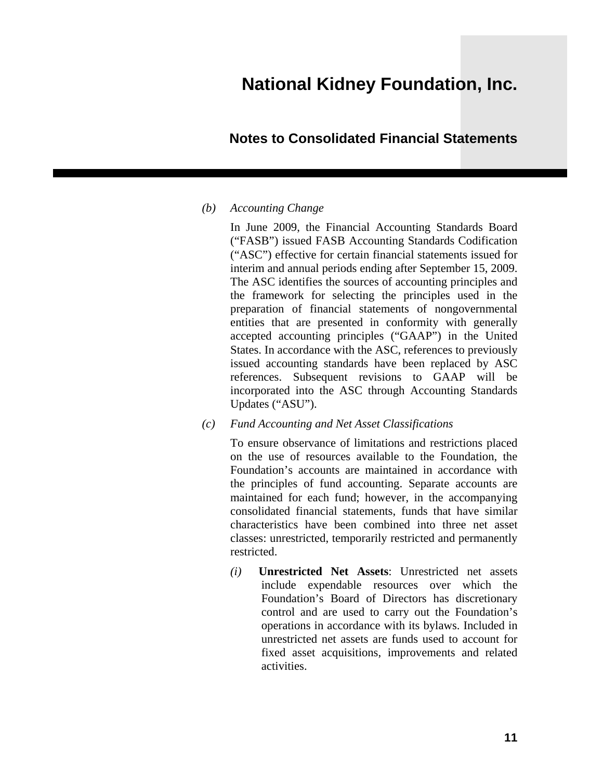### **Notes to Consolidated Financial Statements**

#### *(b) Accounting Change*

In June 2009, the Financial Accounting Standards Board ("FASB") issued FASB Accounting Standards Codification ("ASC") effective for certain financial statements issued for interim and annual periods ending after September 15, 2009. The ASC identifies the sources of accounting principles and the framework for selecting the principles used in the preparation of financial statements of nongovernmental entities that are presented in conformity with generally accepted accounting principles ("GAAP") in the United States. In accordance with the ASC, references to previously issued accounting standards have been replaced by ASC references. Subsequent revisions to GAAP will be incorporated into the ASC through Accounting Standards Updates ("ASU").

*(c) Fund Accounting and Net Asset Classifications* 

To ensure observance of limitations and restrictions placed on the use of resources available to the Foundation, the Foundation's accounts are maintained in accordance with the principles of fund accounting. Separate accounts are maintained for each fund; however, in the accompanying consolidated financial statements, funds that have similar characteristics have been combined into three net asset classes: unrestricted, temporarily restricted and permanently restricted.

*(i)* **Unrestricted Net Assets**: Unrestricted net assets include expendable resources over which the Foundation's Board of Directors has discretionary control and are used to carry out the Foundation's operations in accordance with its bylaws. Included in unrestricted net assets are funds used to account for fixed asset acquisitions, improvements and related activities.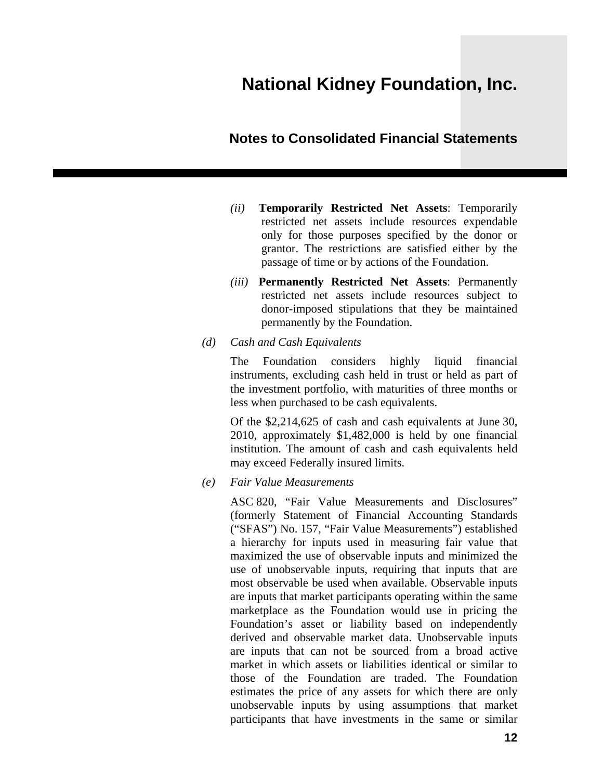#### **Notes to Consolidated Financial Statements**

- *(ii)* **Temporarily Restricted Net Assets**: Temporarily restricted net assets include resources expendable only for those purposes specified by the donor or grantor. The restrictions are satisfied either by the passage of time or by actions of the Foundation.
- *(iii)* **Permanently Restricted Net Assets**: Permanently restricted net assets include resources subject to donor-imposed stipulations that they be maintained permanently by the Foundation.
- *(d) Cash and Cash Equivalents*

The Foundation considers highly liquid financial instruments, excluding cash held in trust or held as part of the investment portfolio, with maturities of three months or less when purchased to be cash equivalents.

Of the \$2,214,625 of cash and cash equivalents at June 30, 2010, approximately \$1,482,000 is held by one financial institution. The amount of cash and cash equivalents held may exceed Federally insured limits.

*(e) Fair Value Measurements* 

ASC 820, "Fair Value Measurements and Disclosures" (formerly Statement of Financial Accounting Standards ("SFAS") No. 157, "Fair Value Measurements") established a hierarchy for inputs used in measuring fair value that maximized the use of observable inputs and minimized the use of unobservable inputs, requiring that inputs that are most observable be used when available. Observable inputs are inputs that market participants operating within the same marketplace as the Foundation would use in pricing the Foundation's asset or liability based on independently derived and observable market data. Unobservable inputs are inputs that can not be sourced from a broad active market in which assets or liabilities identical or similar to those of the Foundation are traded. The Foundation estimates the price of any assets for which there are only unobservable inputs by using assumptions that market participants that have investments in the same or similar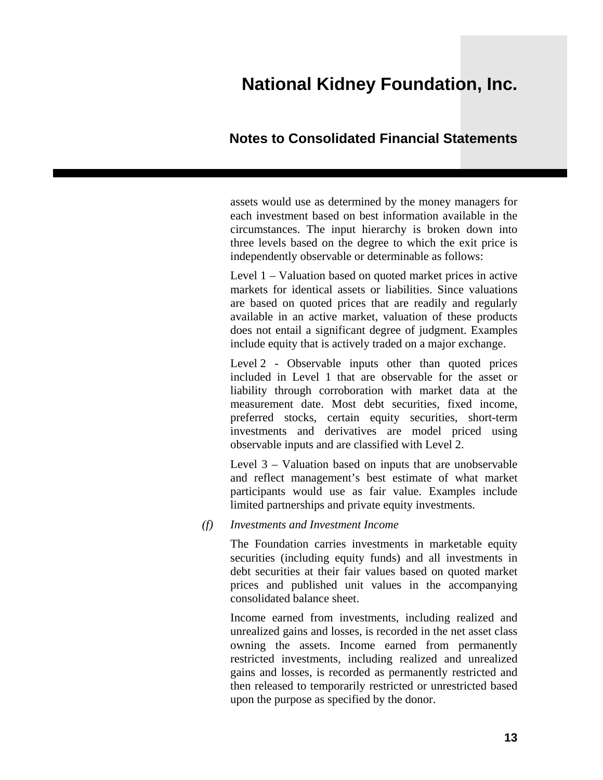### **Notes to Consolidated Financial Statements**

assets would use as determined by the money managers for each investment based on best information available in the circumstances. The input hierarchy is broken down into three levels based on the degree to which the exit price is independently observable or determinable as follows:

Level 1 – Valuation based on quoted market prices in active markets for identical assets or liabilities. Since valuations are based on quoted prices that are readily and regularly available in an active market, valuation of these products does not entail a significant degree of judgment. Examples include equity that is actively traded on a major exchange.

Level 2 - Observable inputs other than quoted prices included in Level 1 that are observable for the asset or liability through corroboration with market data at the measurement date. Most debt securities, fixed income, preferred stocks, certain equity securities, short-term investments and derivatives are model priced using observable inputs and are classified with Level 2.

Level 3 – Valuation based on inputs that are unobservable and reflect management's best estimate of what market participants would use as fair value. Examples include limited partnerships and private equity investments.

#### *(f) Investments and Investment Income*

The Foundation carries investments in marketable equity securities (including equity funds) and all investments in debt securities at their fair values based on quoted market prices and published unit values in the accompanying consolidated balance sheet.

Income earned from investments, including realized and unrealized gains and losses, is recorded in the net asset class owning the assets. Income earned from permanently restricted investments, including realized and unrealized gains and losses, is recorded as permanently restricted and then released to temporarily restricted or unrestricted based upon the purpose as specified by the donor.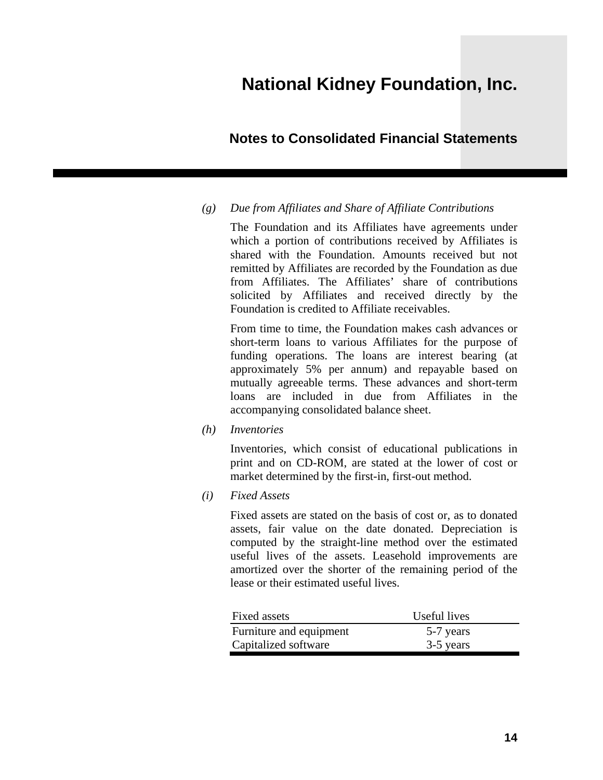### **Notes to Consolidated Financial Statements**

#### *(g) Due from Affiliates and Share of Affiliate Contributions*

The Foundation and its Affiliates have agreements under which a portion of contributions received by Affiliates is shared with the Foundation. Amounts received but not remitted by Affiliates are recorded by the Foundation as due from Affiliates. The Affiliates' share of contributions solicited by Affiliates and received directly by the Foundation is credited to Affiliate receivables.

From time to time, the Foundation makes cash advances or short-term loans to various Affiliates for the purpose of funding operations. The loans are interest bearing (at approximately 5% per annum) and repayable based on mutually agreeable terms. These advances and short-term loans are included in due from Affiliates in the accompanying consolidated balance sheet.

*(h) Inventories* 

Inventories, which consist of educational publications in print and on CD-ROM, are stated at the lower of cost or market determined by the first-in, first-out method.

*(i) Fixed Assets* 

Fixed assets are stated on the basis of cost or, as to donated assets, fair value on the date donated. Depreciation is computed by the straight-line method over the estimated useful lives of the assets. Leasehold improvements are amortized over the shorter of the remaining period of the lease or their estimated useful lives.

| Useful lives | Fixed assets            |
|--------------|-------------------------|
| 5-7 years    | Furniture and equipment |
| 3-5 years    | Capitalized software    |
|              |                         |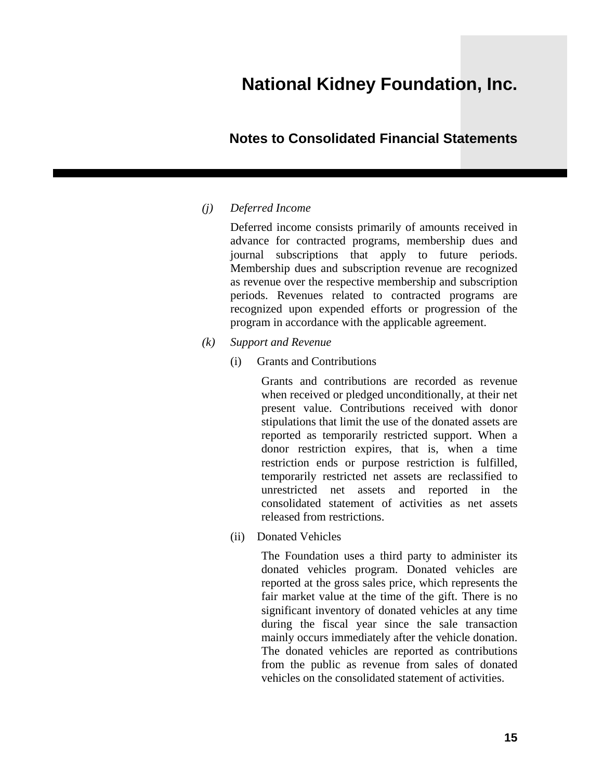### **Notes to Consolidated Financial Statements**

#### *(j) Deferred Income*

Deferred income consists primarily of amounts received in advance for contracted programs, membership dues and journal subscriptions that apply to future periods. Membership dues and subscription revenue are recognized as revenue over the respective membership and subscription periods. Revenues related to contracted programs are recognized upon expended efforts or progression of the program in accordance with the applicable agreement.

- *(k) Support and Revenue* 
	- (i) Grants and Contributions

Grants and contributions are recorded as revenue when received or pledged unconditionally, at their net present value. Contributions received with donor stipulations that limit the use of the donated assets are reported as temporarily restricted support. When a donor restriction expires, that is, when a time restriction ends or purpose restriction is fulfilled, temporarily restricted net assets are reclassified to unrestricted net assets and reported in the consolidated statement of activities as net assets released from restrictions.

(ii) Donated Vehicles

The Foundation uses a third party to administer its donated vehicles program. Donated vehicles are reported at the gross sales price, which represents the fair market value at the time of the gift. There is no significant inventory of donated vehicles at any time during the fiscal year since the sale transaction mainly occurs immediately after the vehicle donation. The donated vehicles are reported as contributions from the public as revenue from sales of donated vehicles on the consolidated statement of activities.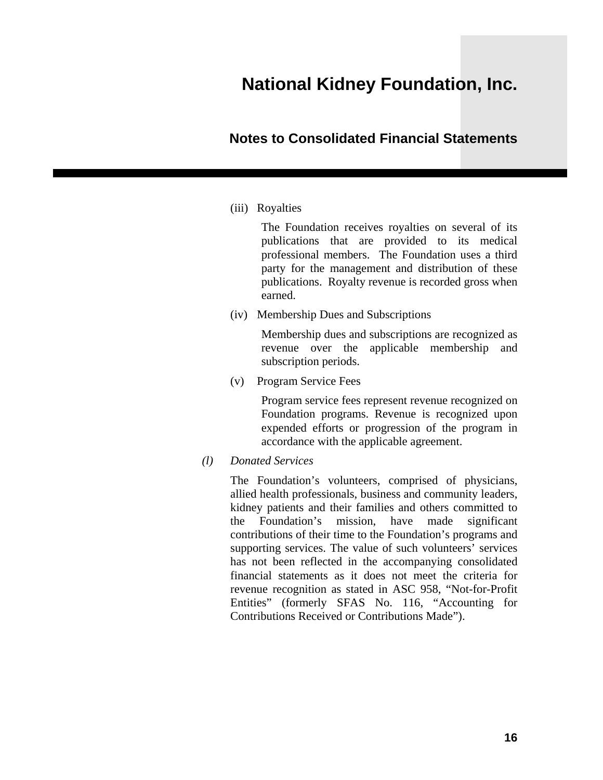### **Notes to Consolidated Financial Statements**

(iii) Royalties

The Foundation receives royalties on several of its publications that are provided to its medical professional members. The Foundation uses a third party for the management and distribution of these publications. Royalty revenue is recorded gross when earned.

(iv) Membership Dues and Subscriptions

Membership dues and subscriptions are recognized as revenue over the applicable membership and subscription periods.

(v) Program Service Fees

Program service fees represent revenue recognized on Foundation programs. Revenue is recognized upon expended efforts or progression of the program in accordance with the applicable agreement.

*(l) Donated Services* 

The Foundation's volunteers, comprised of physicians, allied health professionals, business and community leaders, kidney patients and their families and others committed to the Foundation's mission, have made significant contributions of their time to the Foundation's programs and supporting services. The value of such volunteers' services has not been reflected in the accompanying consolidated financial statements as it does not meet the criteria for revenue recognition as stated in ASC 958, "Not-for-Profit Entities" (formerly SFAS No. 116, "Accounting for Contributions Received or Contributions Made").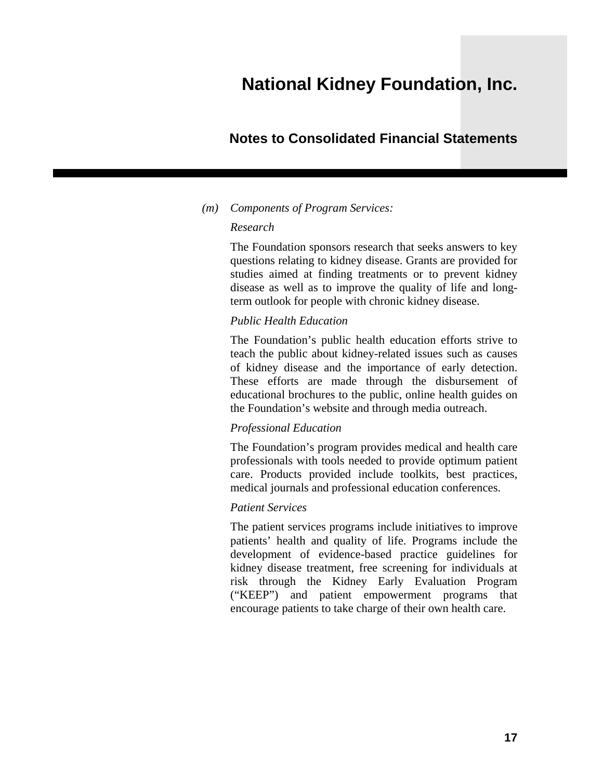### **Notes to Consolidated Financial Statements**

#### *(m) Components of Program Services:*

#### *Research*

The Foundation sponsors research that seeks answers to key questions relating to kidney disease. Grants are provided for studies aimed at finding treatments or to prevent kidney disease as well as to improve the quality of life and longterm outlook for people with chronic kidney disease.

#### *Public Health Education*

The Foundation's public health education efforts strive to teach the public about kidney-related issues such as causes of kidney disease and the importance of early detection. These efforts are made through the disbursement of educational brochures to the public, online health guides on the Foundation's website and through media outreach.

#### *Professional Education*

The Foundation's program provides medical and health care professionals with tools needed to provide optimum patient care. Products provided include toolkits, best practices, medical journals and professional education conferences.

#### *Patient Services*

The patient services programs include initiatives to improve patients' health and quality of life. Programs include the development of evidence-based practice guidelines for kidney disease treatment, free screening for individuals at risk through the Kidney Early Evaluation Program ("KEEP") and patient empowerment programs that encourage patients to take charge of their own health care.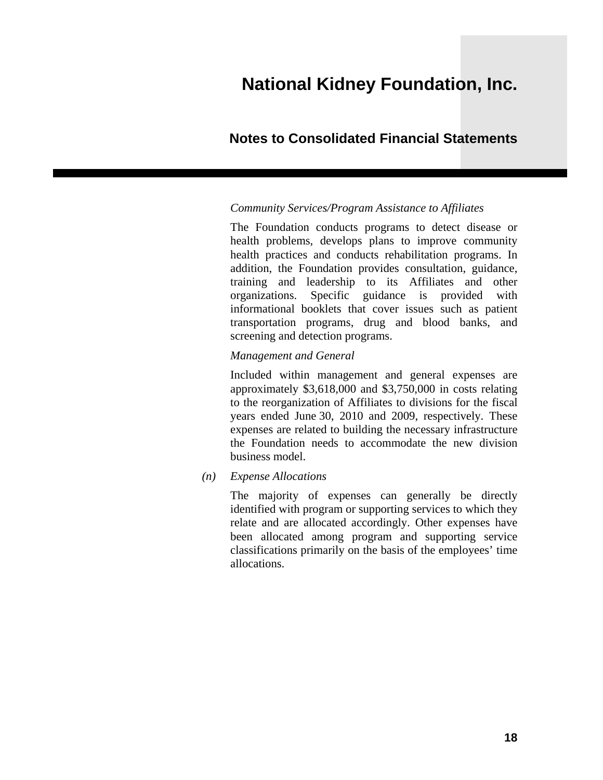### **Notes to Consolidated Financial Statements**

#### *Community Services/Program Assistance to Affiliates*

The Foundation conducts programs to detect disease or health problems, develops plans to improve community health practices and conducts rehabilitation programs. In addition, the Foundation provides consultation, guidance, training and leadership to its Affiliates and other organizations. Specific guidance is provided with informational booklets that cover issues such as patient transportation programs, drug and blood banks, and screening and detection programs.

#### *Management and General*

Included within management and general expenses are approximately \$3,618,000 and \$3,750,000 in costs relating to the reorganization of Affiliates to divisions for the fiscal years ended June 30, 2010 and 2009, respectively. These expenses are related to building the necessary infrastructure the Foundation needs to accommodate the new division business model.

*(n) Expense Allocations* 

The majority of expenses can generally be directly identified with program or supporting services to which they relate and are allocated accordingly. Other expenses have been allocated among program and supporting service classifications primarily on the basis of the employees' time allocations.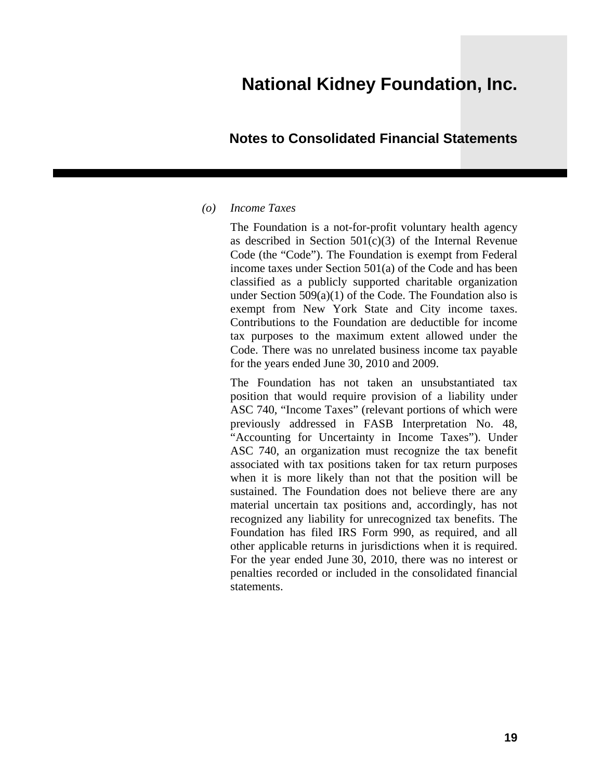#### **Notes to Consolidated Financial Statements**

#### *(o) Income Taxes*

The Foundation is a not-for-profit voluntary health agency as described in Section 501(c)(3) of the Internal Revenue Code (the "Code"). The Foundation is exempt from Federal income taxes under Section 501(a) of the Code and has been classified as a publicly supported charitable organization under Section  $509(a)(1)$  of the Code. The Foundation also is exempt from New York State and City income taxes. Contributions to the Foundation are deductible for income tax purposes to the maximum extent allowed under the Code. There was no unrelated business income tax payable for the years ended June 30, 2010 and 2009.

The Foundation has not taken an unsubstantiated tax position that would require provision of a liability under ASC 740, "Income Taxes" (relevant portions of which were previously addressed in FASB Interpretation No. 48, "Accounting for Uncertainty in Income Taxes"). Under ASC 740, an organization must recognize the tax benefit associated with tax positions taken for tax return purposes when it is more likely than not that the position will be sustained. The Foundation does not believe there are any material uncertain tax positions and, accordingly, has not recognized any liability for unrecognized tax benefits. The Foundation has filed IRS Form 990, as required, and all other applicable returns in jurisdictions when it is required. For the year ended June 30, 2010, there was no interest or penalties recorded or included in the consolidated financial statements.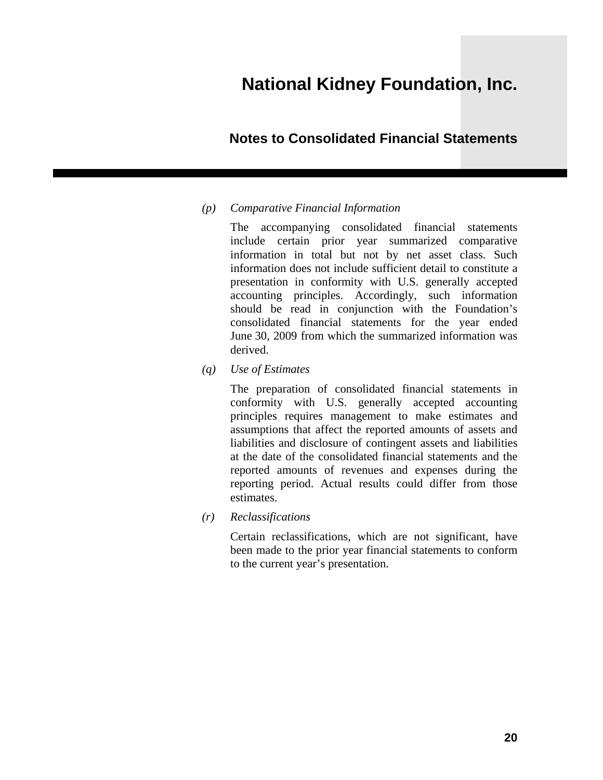### **Notes to Consolidated Financial Statements**

#### *(p) Comparative Financial Information*

The accompanying consolidated financial statements include certain prior year summarized comparative information in total but not by net asset class. Such information does not include sufficient detail to constitute a presentation in conformity with U.S. generally accepted accounting principles. Accordingly, such information should be read in conjunction with the Foundation's consolidated financial statements for the year ended June 30, 2009 from which the summarized information was derived.

*(q) Use of Estimates* 

The preparation of consolidated financial statements in conformity with U.S. generally accepted accounting principles requires management to make estimates and assumptions that affect the reported amounts of assets and liabilities and disclosure of contingent assets and liabilities at the date of the consolidated financial statements and the reported amounts of revenues and expenses during the reporting period. Actual results could differ from those estimates.

*(r) Reclassifications* 

Certain reclassifications, which are not significant, have been made to the prior year financial statements to conform to the current year's presentation.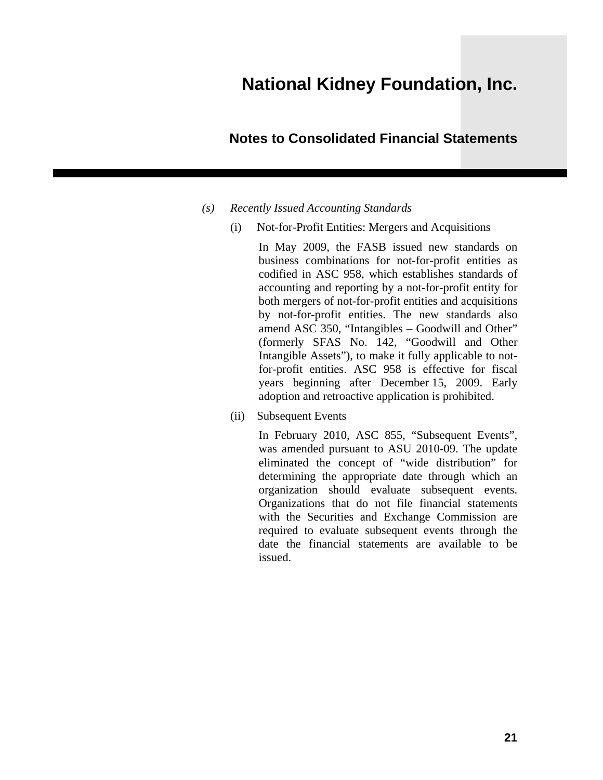### **Notes to Consolidated Financial Statements**

- *(s) Recently Issued Accounting Standards* 
	- (i) Not-for-Profit Entities: Mergers and Acquisitions

In May 2009, the FASB issued new standards on business combinations for not-for-profit entities as codified in ASC 958, which establishes standards of accounting and reporting by a not-for-profit entity for both mergers of not-for-profit entities and acquisitions by not-for-profit entities. The new standards also amend ASC 350, "Intangibles – Goodwill and Other" (formerly SFAS No. 142, "Goodwill and Other Intangible Assets"), to make it fully applicable to notfor-profit entities. ASC 958 is effective for fiscal years beginning after December 15, 2009. Early adoption and retroactive application is prohibited.

(ii) Subsequent Events

In February 2010, ASC 855, "Subsequent Events", was amended pursuant to ASU 2010-09. The update eliminated the concept of "wide distribution" for determining the appropriate date through which an organization should evaluate subsequent events. Organizations that do not file financial statements with the Securities and Exchange Commission are required to evaluate subsequent events through the date the financial statements are available to be issued.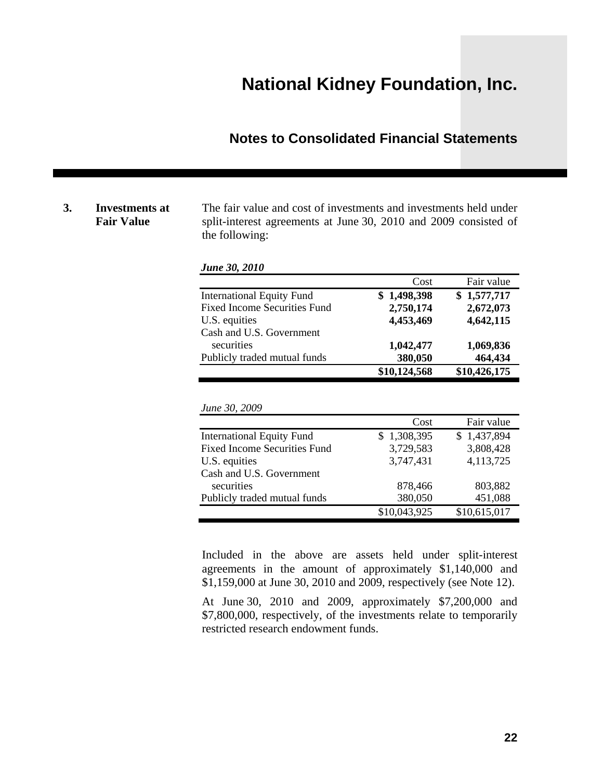### **Notes to Consolidated Financial Statements**

#### **3. Investments at Fair Value**

The fair value and cost of investments and investments held under split-interest agreements at June 30, 2010 and 2009 consisted of the following:

| June 30, 2010                       |              |              |
|-------------------------------------|--------------|--------------|
|                                     | Cost         | Fair value   |
| <b>International Equity Fund</b>    | \$1,498,398  | \$1,577,717  |
| <b>Fixed Income Securities Fund</b> | 2,750,174    | 2,672,073    |
| U.S. equities                       | 4,453,469    | 4,642,115    |
| Cash and U.S. Government            |              |              |
| securities                          | 1,042,477    | 1,069,836    |
| Publicly traded mutual funds        | 380,050      | 464,434      |
|                                     | \$10,124,568 | \$10,426,175 |

|  |  | June 30, 2009 |
|--|--|---------------|
|--|--|---------------|

|                                     | Cost            | Fair value   |
|-------------------------------------|-----------------|--------------|
| <b>International Equity Fund</b>    | 1,308,395<br>S. | \$1,437,894  |
| <b>Fixed Income Securities Fund</b> | 3,729,583       | 3,808,428    |
| U.S. equities                       | 3,747,431       | 4,113,725    |
| Cash and U.S. Government            |                 |              |
| securities                          | 878,466         | 803,882      |
| Publicly traded mutual funds        | 380,050         | 451,088      |
|                                     | \$10,043,925    | \$10,615,017 |

Included in the above are assets held under split-interest agreements in the amount of approximately \$1,140,000 and \$1,159,000 at June 30, 2010 and 2009, respectively (see Note 12).

At June 30, 2010 and 2009, approximately \$7,200,000 and \$7,800,000, respectively, of the investments relate to temporarily restricted research endowment funds.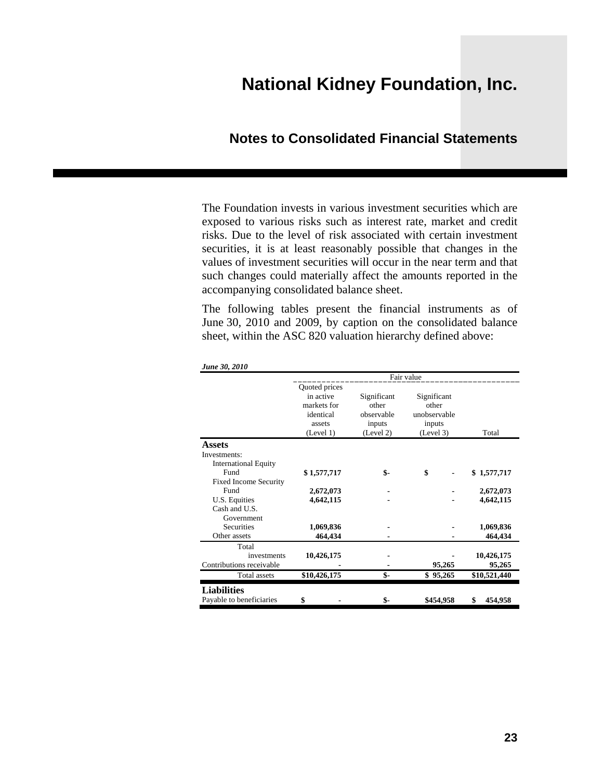### **Notes to Consolidated Financial Statements**

The Foundation invests in various investment securities which are exposed to various risks such as interest rate, market and credit risks. Due to the level of risk associated with certain investment securities, it is at least reasonably possible that changes in the values of investment securities will occur in the near term and that such changes could materially affect the amounts reported in the accompanying consolidated balance sheet.

The following tables present the financial instruments as of June 30, 2010 and 2009, by caption on the consolidated balance sheet, within the ASC 820 valuation hierarchy defined above:

|                              | Fair value                                                       |                                              |                                                |               |
|------------------------------|------------------------------------------------------------------|----------------------------------------------|------------------------------------------------|---------------|
|                              | Quoted prices<br>in active<br>markets for<br>identical<br>assets | Significant<br>other<br>observable<br>inputs | Significant<br>other<br>unobservable<br>inputs | Total         |
|                              | (Level 1)                                                        | (Level 2)                                    | (Level 3)                                      |               |
| <b>Assets</b>                |                                                                  |                                              |                                                |               |
| Investments:                 |                                                                  |                                              |                                                |               |
| <b>International Equity</b>  |                                                                  |                                              |                                                |               |
| Fund                         | \$1,577,717                                                      | \$-                                          | \$                                             | \$1,577,717   |
| <b>Fixed Income Security</b> |                                                                  |                                              |                                                |               |
| Fund                         | 2,672,073                                                        |                                              |                                                | 2,672,073     |
| U.S. Equities                | 4,642,115                                                        |                                              |                                                | 4,642,115     |
| Cash and U.S.                |                                                                  |                                              |                                                |               |
| Government                   |                                                                  |                                              |                                                |               |
| <b>Securities</b>            | 1,069,836                                                        |                                              |                                                | 1,069,836     |
| Other assets                 | 464,434                                                          |                                              |                                                | 464,434       |
| Total                        |                                                                  |                                              |                                                |               |
| investments                  | 10,426,175                                                       |                                              |                                                | 10,426,175    |
| Contributions receivable     |                                                                  | $\blacksquare$                               | 95,265                                         | 95,265        |
| <b>Total assets</b>          | \$10,426,175                                                     | \$-                                          | \$<br>95,265                                   | \$10,521,440  |
| <b>Liabilities</b>           |                                                                  |                                              |                                                |               |
| Payable to beneficiaries     | \$                                                               | \$-                                          | \$454,958                                      | \$<br>454,958 |

*June 30, 2010*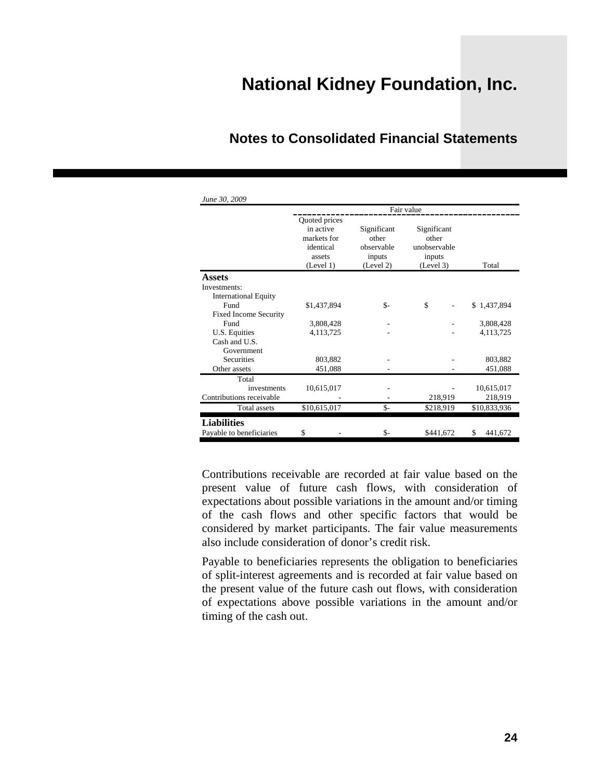|                              | Fair value                                                                    |                                                           |                                                             |               |
|------------------------------|-------------------------------------------------------------------------------|-----------------------------------------------------------|-------------------------------------------------------------|---------------|
|                              | Quoted prices<br>in active<br>markets for<br>identical<br>assets<br>(Level 1) | Significant<br>other<br>observable<br>inputs<br>(Level 2) | Significant<br>other<br>unobservable<br>inputs<br>(Level 3) | Total         |
| <b>Assets</b>                |                                                                               |                                                           |                                                             |               |
| Investments:                 |                                                                               |                                                           |                                                             |               |
| <b>International Equity</b>  |                                                                               |                                                           |                                                             |               |
| Fund                         | \$1,437,894                                                                   | \$-                                                       | \$                                                          | \$1,437,894   |
| <b>Fixed Income Security</b> |                                                                               |                                                           |                                                             |               |
| Fund                         | 3,808,428                                                                     |                                                           |                                                             | 3,808,428     |
| U.S. Equities                | 4,113,725                                                                     |                                                           |                                                             | 4,113,725     |
| Cash and U.S.                |                                                                               |                                                           |                                                             |               |
| Government                   |                                                                               |                                                           |                                                             |               |
| <b>Securities</b>            | 803,882                                                                       |                                                           |                                                             | 803,882       |
| Other assets                 | 451,088                                                                       |                                                           |                                                             | 451,088       |
| Total                        |                                                                               |                                                           |                                                             |               |
| investments                  | 10,615,017                                                                    |                                                           |                                                             | 10,615,017    |
| Contributions receivable     |                                                                               |                                                           | 218,919                                                     | 218,919       |
| <b>Total assets</b>          | \$10,615,017                                                                  | \$-                                                       | \$218,919                                                   | \$10,833,936  |
| <b>Liabilities</b>           |                                                                               |                                                           |                                                             |               |
| Payable to beneficiaries     | \$                                                                            | $S-$                                                      | \$441,672                                                   | \$<br>441,672 |

### **Notes to Consolidated Financial Statements**

Contributions receivable are recorded at fair value based on the present value of future cash flows, with consideration of expectations about possible variations in the amount and/or timing of the cash flows and other specific factors that would be considered by market participants. The fair value measurements also include consideration of donor's credit risk.

Payable to beneficiaries represents the obligation to beneficiaries of split-interest agreements and is recorded at fair value based on the present value of the future cash out flows, with consideration of expectations above possible variations in the amount and/or timing of the cash out.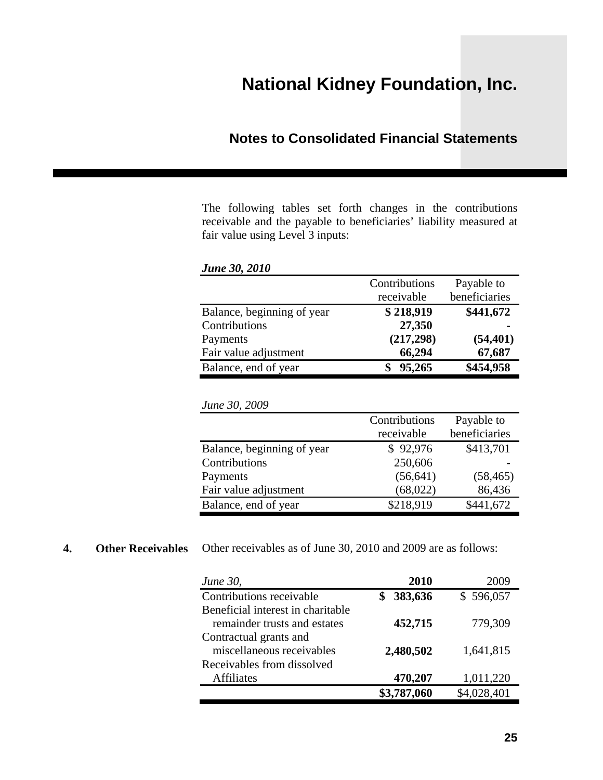### **Notes to Consolidated Financial Statements**

The following tables set forth changes in the contributions receivable and the payable to beneficiaries' liability measured at fair value using Level 3 inputs:

| <b>June 30, 2010</b>       |               |               |
|----------------------------|---------------|---------------|
|                            | Contributions | Payable to    |
|                            | receivable    | beneficiaries |
| Balance, beginning of year | \$218,919     | \$441,672     |
| Contributions              | 27,350        |               |
| Payments                   | (217, 298)    | (54, 401)     |
| Fair value adjustment      | 66,294        | 67,687        |
| Balance, end of year       | 95,265        | \$454,958     |

|  |  | June 30, 2009 |
|--|--|---------------|
|--|--|---------------|

|                            | Contributions<br>receivable | Payable to<br>beneficiaries |
|----------------------------|-----------------------------|-----------------------------|
| Balance, beginning of year | \$92,976                    | \$413,701                   |
| Contributions              | 250,606                     |                             |
| Payments                   | (56, 641)                   | (58, 465)                   |
| Fair value adjustment      | (68,022)                    | 86,436                      |
| Balance, end of year       | \$218,919                   | \$441,672                   |

#### **4.** Other Receivables Other receivables as of June 30, 2010 and 2009 are as follows:

| <i>June 30,</i>                   | 2010        | 2009        |
|-----------------------------------|-------------|-------------|
| Contributions receivable          | 383,636     | \$596,057   |
| Beneficial interest in charitable |             |             |
| remainder trusts and estates      | 452,715     | 779,309     |
| Contractual grants and            |             |             |
| miscellaneous receivables         | 2,480,502   | 1,641,815   |
| Receivables from dissolved        |             |             |
| <b>Affiliates</b>                 | 470,207     | 1,011,220   |
|                                   | \$3,787,060 | \$4,028,401 |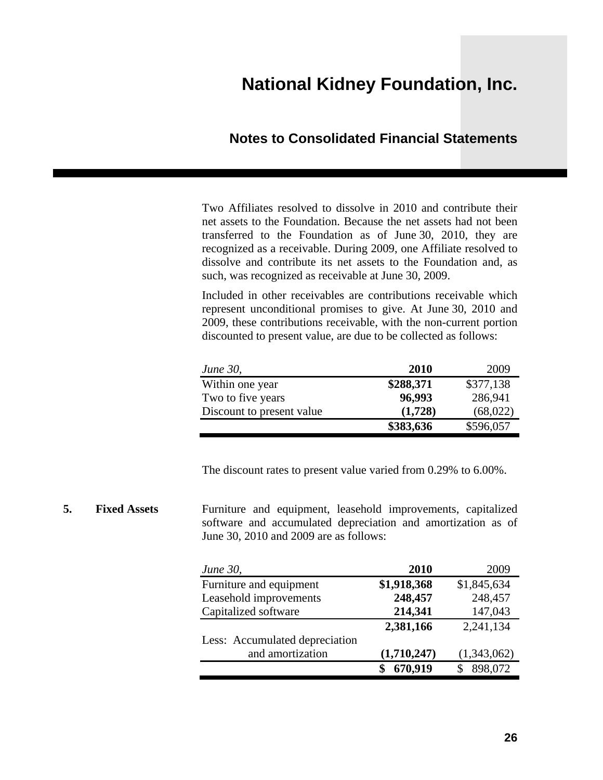### **Notes to Consolidated Financial Statements**

Two Affiliates resolved to dissolve in 2010 and contribute their net assets to the Foundation. Because the net assets had not been transferred to the Foundation as of June 30, 2010, they are recognized as a receivable. During 2009, one Affiliate resolved to dissolve and contribute its net assets to the Foundation and, as such, was recognized as receivable at June 30, 2009.

Included in other receivables are contributions receivable which represent unconditional promises to give. At June 30, 2010 and 2009, these contributions receivable, with the non-current portion discounted to present value, are due to be collected as follows:

| <i>June 30,</i>           | <b>2010</b> | 2009      |
|---------------------------|-------------|-----------|
| Within one year           | \$288,371   | \$377,138 |
| Two to five years         | 96,993      | 286,941   |
| Discount to present value | (1,728)     | (68,022)  |
|                           | \$383,636   | \$596,057 |

The discount rates to present value varied from 0.29% to 6.00%.

#### **5.** Fixed Assets **Furniture** and equipment, leasehold improvements, capitalized software and accumulated depreciation and amortization as of June 30, 2010 and 2009 are as follows:

| <i>June 30,</i>                | 2010        | 2009        |
|--------------------------------|-------------|-------------|
| Furniture and equipment        | \$1,918,368 | \$1,845,634 |
| Leasehold improvements         | 248,457     | 248,457     |
| Capitalized software           | 214,341     | 147,043     |
|                                | 2,381,166   | 2,241,134   |
| Less: Accumulated depreciation |             |             |
| and amortization               | (1,710,247) | (1,343,062) |
|                                | 670,919     | 898,072     |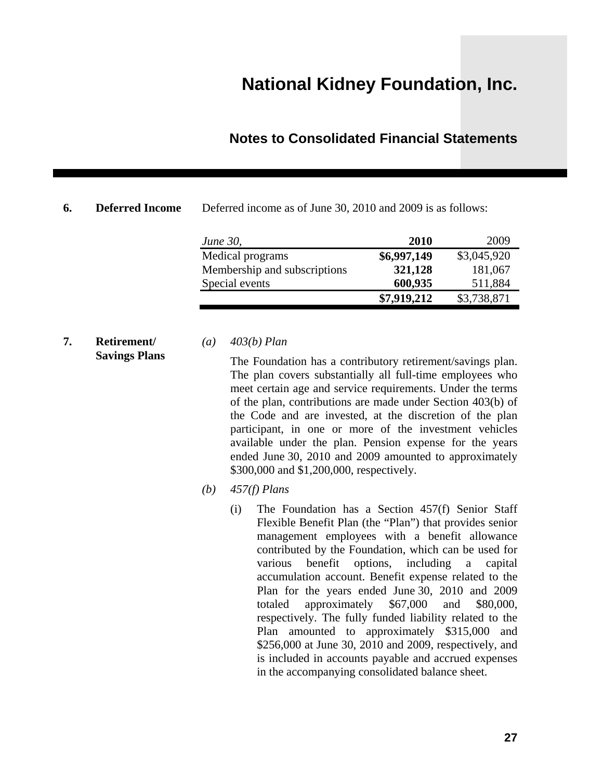### **Notes to Consolidated Financial Statements**

**6. Deferred Income** Deferred income as of June 30, 2010 and 2009 is as follows:

| <i>June 30,</i>              | <b>2010</b> | 2009        |
|------------------------------|-------------|-------------|
| Medical programs             | \$6,997,149 | \$3,045,920 |
| Membership and subscriptions | 321,128     | 181,067     |
| Special events               | 600,935     | 511,884     |
|                              | \$7,919,212 | \$3,738,871 |

#### **7. Retirement/ Savings Plans**

#### *(a) 403(b) Plan*

The Foundation has a contributory retirement/savings plan. The plan covers substantially all full-time employees who meet certain age and service requirements. Under the terms of the plan, contributions are made under Section 403(b) of the Code and are invested, at the discretion of the plan participant, in one or more of the investment vehicles available under the plan. Pension expense for the years ended June 30, 2010 and 2009 amounted to approximately \$300,000 and \$1,200,000, respectively.

*(b) 457(f) Plans*

(i) The Foundation has a Section 457(f) Senior Staff Flexible Benefit Plan (the "Plan") that provides senior management employees with a benefit allowance contributed by the Foundation, which can be used for various benefit options, including a capital accumulation account. Benefit expense related to the Plan for the years ended June 30, 2010 and 2009 totaled approximately \$67,000 and \$80,000, respectively. The fully funded liability related to the Plan amounted to approximately \$315,000 and \$256,000 at June 30, 2010 and 2009, respectively, and is included in accounts payable and accrued expenses in the accompanying consolidated balance sheet.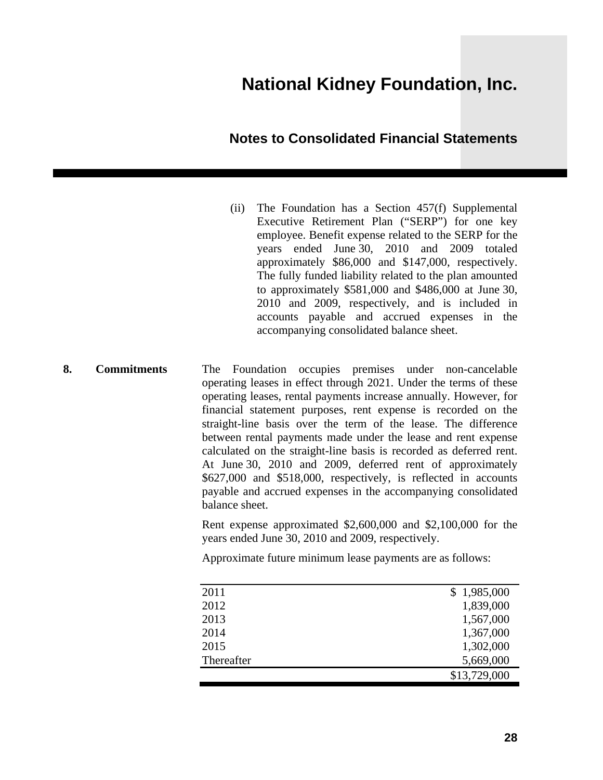### **Notes to Consolidated Financial Statements**

- (ii) The Foundation has a Section 457(f) Supplemental Executive Retirement Plan ("SERP") for one key employee. Benefit expense related to the SERP for the years ended June 30, 2010 and 2009 totaled approximately \$86,000 and \$147,000, respectively. The fully funded liability related to the plan amounted to approximately \$581,000 and \$486,000 at June 30, 2010 and 2009, respectively, and is included in accounts payable and accrued expenses in the accompanying consolidated balance sheet.
- **8. Commitments** The Foundation occupies premises under non-cancelable operating leases in effect through 2021. Under the terms of these operating leases, rental payments increase annually. However, for financial statement purposes, rent expense is recorded on the straight-line basis over the term of the lease. The difference between rental payments made under the lease and rent expense calculated on the straight-line basis is recorded as deferred rent. At June 30, 2010 and 2009, deferred rent of approximately \$627,000 and \$518,000, respectively, is reflected in accounts payable and accrued expenses in the accompanying consolidated balance sheet.

Rent expense approximated \$2,600,000 and \$2,100,000 for the years ended June 30, 2010 and 2009, respectively.

Approximate future minimum lease payments are as follows:

| 2011       | \$1,985,000  |
|------------|--------------|
| 2012       | 1,839,000    |
| 2013       | 1,567,000    |
| 2014       | 1,367,000    |
| 2015       | 1,302,000    |
| Thereafter | 5,669,000    |
|            | \$13,729,000 |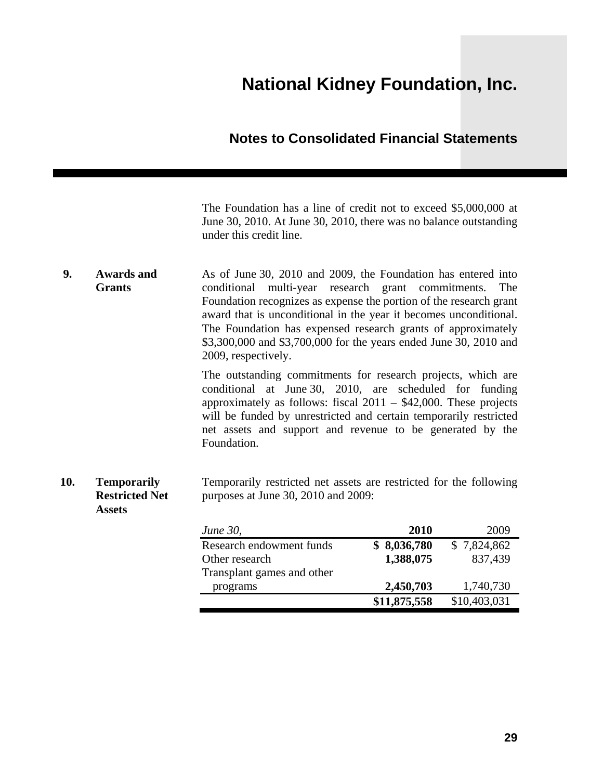### **Notes to Consolidated Financial Statements**

The Foundation has a line of credit not to exceed \$5,000,000 at June 30, 2010. At June 30, 2010, there was no balance outstanding under this credit line.

**9. Awards and Grants**  As of June 30, 2010 and 2009, the Foundation has entered into conditional multi-year research grant commitments. The Foundation recognizes as expense the portion of the research grant award that is unconditional in the year it becomes unconditional. The Foundation has expensed research grants of approximately \$3,300,000 and \$3,700,000 for the years ended June 30, 2010 and 2009, respectively.

> The outstanding commitments for research projects, which are conditional at June 30, 2010, are scheduled for funding approximately as follows: fiscal 2011 – \$42,000. These projects will be funded by unrestricted and certain temporarily restricted net assets and support and revenue to be generated by the Foundation.

**10. Temporarily Restricted Net Assets**  Temporarily restricted net assets are restricted for the following purposes at June 30, 2010 and 2009:

| <i>June 30,</i>            | <b>2010</b>  | 2009         |
|----------------------------|--------------|--------------|
| Research endowment funds   | \$8,036,780  | \$7,824,862  |
| Other research             | 1,388,075    | 837,439      |
| Transplant games and other |              |              |
| programs                   | 2,450,703    | 1,740,730    |
|                            | \$11,875,558 | \$10,403,031 |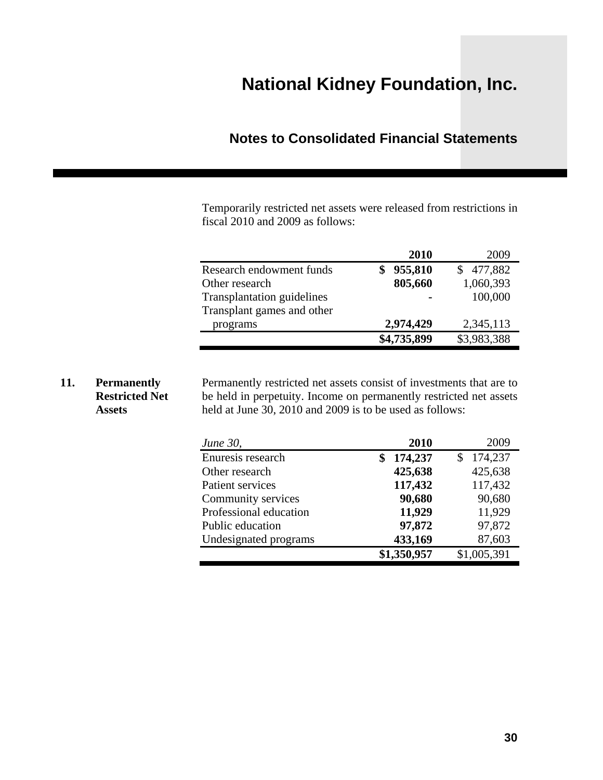### **Notes to Consolidated Financial Statements**

Temporarily restricted net assets were released from restrictions in fiscal 2010 and 2009 as follows:

|                                   | 2010        | 2009        |
|-----------------------------------|-------------|-------------|
| Research endowment funds          | 955,810     | \$477,882   |
| Other research                    | 805,660     | 1,060,393   |
| <b>Transplantation guidelines</b> |             | 100,000     |
| Transplant games and other        |             |             |
| programs                          | 2,974,429   | 2,345,113   |
|                                   | \$4,735,899 | \$3,983,388 |

#### **11. Permanently Restricted Net Assets**

Permanently restricted net assets consist of investments that are to be held in perpetuity. Income on permanently restricted net assets held at June 30, 2010 and 2009 is to be used as follows:

| <i>June 30,</i>        | 2010        | 2009        |
|------------------------|-------------|-------------|
| Enuresis research      | 174,237     | 174,237     |
| Other research         | 425,638     | 425,638     |
| Patient services       | 117,432     | 117,432     |
| Community services     | 90,680      | 90,680      |
| Professional education | 11,929      | 11,929      |
| Public education       | 97,872      | 97,872      |
| Undesignated programs  | 433,169     | 87,603      |
|                        | \$1,350,957 | \$1,005,391 |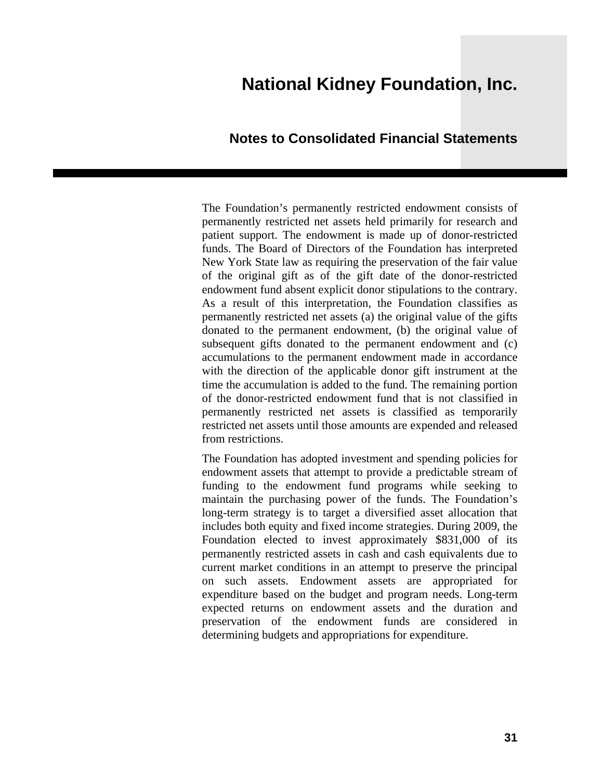#### **Notes to Consolidated Financial Statements**

The Foundation's permanently restricted endowment consists of permanently restricted net assets held primarily for research and patient support. The endowment is made up of donor-restricted funds. The Board of Directors of the Foundation has interpreted New York State law as requiring the preservation of the fair value of the original gift as of the gift date of the donor-restricted endowment fund absent explicit donor stipulations to the contrary. As a result of this interpretation, the Foundation classifies as permanently restricted net assets (a) the original value of the gifts donated to the permanent endowment, (b) the original value of subsequent gifts donated to the permanent endowment and (c) accumulations to the permanent endowment made in accordance with the direction of the applicable donor gift instrument at the time the accumulation is added to the fund. The remaining portion of the donor-restricted endowment fund that is not classified in permanently restricted net assets is classified as temporarily restricted net assets until those amounts are expended and released from restrictions.

The Foundation has adopted investment and spending policies for endowment assets that attempt to provide a predictable stream of funding to the endowment fund programs while seeking to maintain the purchasing power of the funds. The Foundation's long-term strategy is to target a diversified asset allocation that includes both equity and fixed income strategies. During 2009, the Foundation elected to invest approximately \$831,000 of its permanently restricted assets in cash and cash equivalents due to current market conditions in an attempt to preserve the principal on such assets. Endowment assets are appropriated for expenditure based on the budget and program needs. Long-term expected returns on endowment assets and the duration and preservation of the endowment funds are considered in determining budgets and appropriations for expenditure.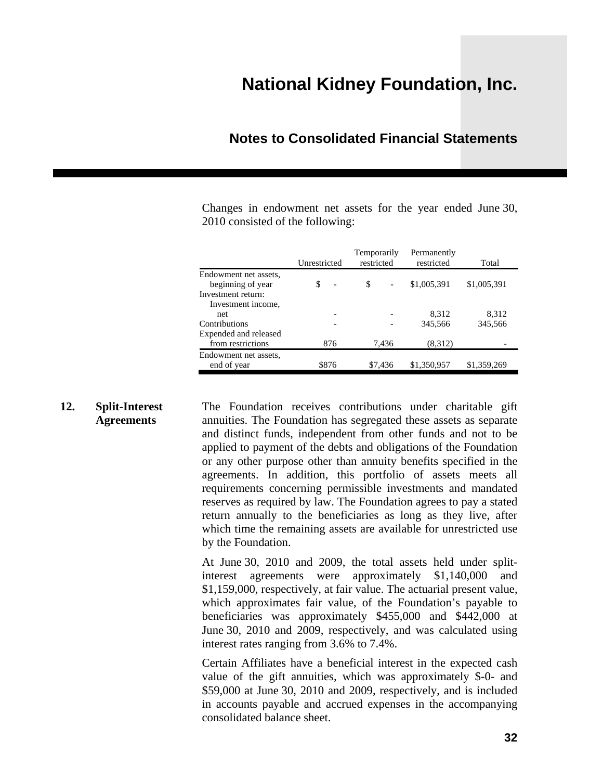### **Notes to Consolidated Financial Statements**

Changes in endowment net assets for the year ended June 30, 2010 consisted of the following:

|                       | Unrestricted                   | Temporarily<br>restricted | Permanently<br>restricted | Total       |
|-----------------------|--------------------------------|---------------------------|---------------------------|-------------|
| Endowment net assets, |                                |                           |                           |             |
| beginning of year     | \$<br>$\overline{\phantom{a}}$ | \$                        | \$1,005,391               | \$1,005,391 |
| Investment return:    |                                |                           |                           |             |
| Investment income,    |                                |                           |                           |             |
| <sub>net</sub>        |                                |                           | 8,312                     | 8,312       |
| Contributions         |                                |                           | 345,566                   | 345,566     |
| Expended and released |                                |                           |                           |             |
| from restrictions     | 876                            | 7,436                     | (8,312)                   |             |
| Endowment net assets, |                                |                           |                           |             |
| end of year           | \$876                          | \$7,436                   | \$1,350,957               | \$1,359,269 |

**12. Split-Interest Agreements**  The Foundation receives contributions under charitable gift annuities. The Foundation has segregated these assets as separate and distinct funds, independent from other funds and not to be applied to payment of the debts and obligations of the Foundation or any other purpose other than annuity benefits specified in the agreements. In addition, this portfolio of assets meets all requirements concerning permissible investments and mandated reserves as required by law. The Foundation agrees to pay a stated return annually to the beneficiaries as long as they live, after which time the remaining assets are available for unrestricted use by the Foundation.

> At June 30, 2010 and 2009, the total assets held under splitinterest agreements were approximately \$1,140,000 and \$1,159,000, respectively, at fair value. The actuarial present value, which approximates fair value, of the Foundation's payable to beneficiaries was approximately \$455,000 and \$442,000 at June 30, 2010 and 2009, respectively, and was calculated using interest rates ranging from 3.6% to 7.4%.

> Certain Affiliates have a beneficial interest in the expected cash value of the gift annuities, which was approximately \$-0- and \$59,000 at June 30, 2010 and 2009, respectively, and is included in accounts payable and accrued expenses in the accompanying consolidated balance sheet.